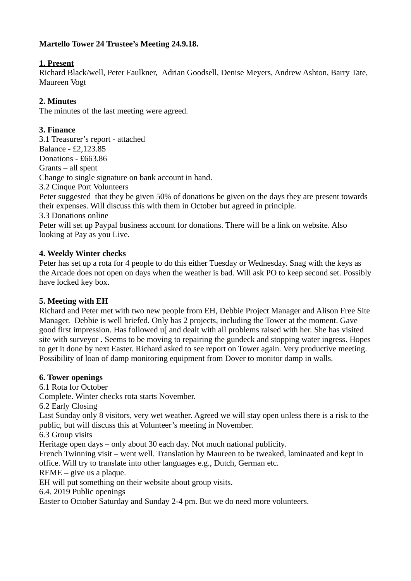# **Martello Tower 24 Trustee's Meeting 24.9.18.**

## **1. Present**

Richard Black/well, Peter Faulkner, Adrian Goodsell, Denise Meyers, Andrew Ashton, Barry Tate, Maureen Vogt

## **2. Minutes**

The minutes of the last meeting were agreed.

## **3. Finance**

3.1 Treasurer's report - attached Balance - £2,123.85 Donations - £663.86 Grants – all spent Change to single signature on bank account in hand. 3.2 Cinque Port Volunteers Peter suggested that they be given 50% of donations be given on the days they are present towards their expenses. Will discuss this with them in October but agreed in principle. 3.3 Donations online Peter will set up Paypal business account for donations. There will be a link on website. Also looking at Pay as you Live.

## **4. Weekly Winter checks**

Peter has set up a rota for 4 people to do this either Tuesday or Wednesday. Snag with the keys as the Arcade does not open on days when the weather is bad. Will ask PO to keep second set. Possibly have locked key box.

#### **5. Meeting with EH**

Richard and Peter met with two new people from EH, Debbie Project Manager and Alison Free Site Manager. Debbie is well briefed. Only has 2 projects, including the Tower at the moment. Gave good first impression. Has followed u[ and dealt with all problems raised with her. She has visited site with surveyor . Seems to be moving to repairing the gundeck and stopping water ingress. Hopes to get it done by next Easter. Richard asked to see report on Tower again. Very productive meeting. Possibility of loan of damp monitoring equipment from Dover to monitor damp in walls.

#### **6. Tower openings**

6.1 Rota for October Complete. Winter checks rota starts November. 6.2 Early Closing Last Sunday only 8 visitors, very wet weather. Agreed we will stay open unless there is a risk to the public, but will discuss this at Volunteer's meeting in November. 6.3 Group visits Heritage open days – only about 30 each day. Not much national publicity. French Twinning visit – went well. Translation by Maureen to be tweaked, laminaated and kept in office. Will try to translate into other languages e.g., Dutch, German etc. REME – give us a plaque. EH will put something on their website about group visits. 6.4. 2019 Public openings

Easter to October Saturday and Sunday 2-4 pm. But we do need more volunteers.